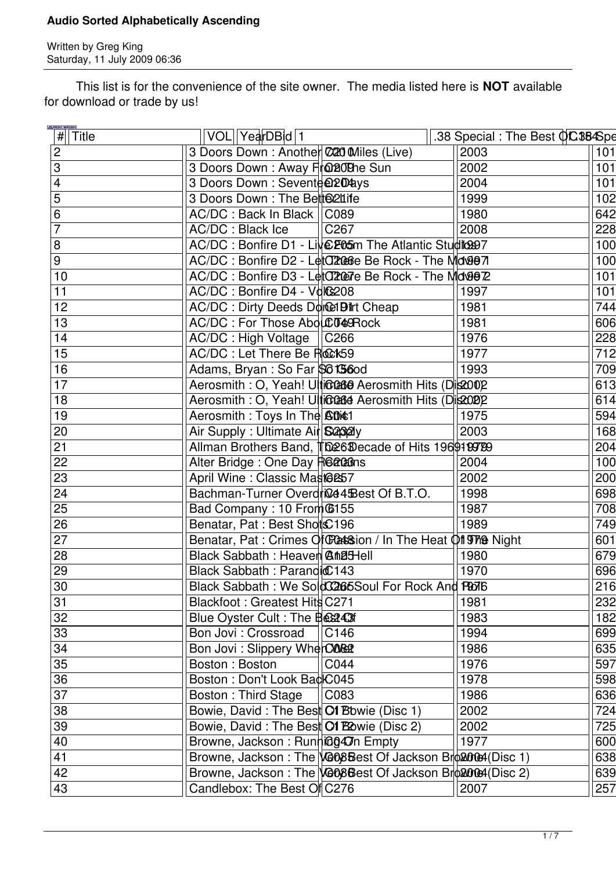Written by Greg King Saturday, 11 July 2009 06:36

 This list is for the convenience of the site owner. The media listed here is **NOT** available for download or trade by us!

|                | <b>E PRINT VERSION</b><br>$\sqrt{\frac{H}{H}}$ Title | VOL  YearDBid 1                      |                                                                | .38 Special : The Best QC384Spe |     |
|----------------|------------------------------------------------------|--------------------------------------|----------------------------------------------------------------|---------------------------------|-----|
| $\overline{2}$ |                                                      |                                      | 3 Doors Down : Another C20 Miles (Live)                        | 2003                            | 101 |
| 3              |                                                      | 3 Doors Down: Away Front Sun         |                                                                | 2002                            | 101 |
| $\overline{4}$ |                                                      | 3 Doors Down: Sevente @204ays        |                                                                | 2004                            | 101 |
| 5              |                                                      | 3 Doors Down: The Bett@2Luife        |                                                                | 1999                            | 102 |
| 6              |                                                      | AC/DC: Back In Black    C089         |                                                                | 1980                            | 642 |
|                |                                                      | AC/DC: Black Ice                     | C <sub>267</sub>                                               | 2008                            | 228 |
| 8              |                                                      |                                      | AC/DC : Bonfire D1 - Live Posm The Atlantic Studio997          |                                 | 100 |
| 9              |                                                      |                                      | AC/DC: Bonfire D2 - Let C2066e Be Rock - The Mov907            |                                 | 100 |
|                | 10                                                   |                                      | AC/DC: Bonfire D3 - Let CROPTE Be Rock - The Monge Z           |                                 | 101 |
| 11             |                                                      | AC/DC: Bonfire D4 - Volc208          |                                                                | 1997                            | 101 |
|                | 12                                                   | AC/DC : Dirty Deeds Donce Dirt Cheap |                                                                | 1981                            | 744 |
|                | 13                                                   | AC/DC: For Those AbduCT49Rock        |                                                                | 1981                            | 606 |
|                | 14                                                   | AC/DC: High Voltage   C266           |                                                                | 1976                            | 228 |
|                | 15                                                   | AC/DC: Let There Be Rock59           |                                                                | 1977                            | 712 |
|                | 16                                                   | Adams, Bryan: So Far \$6156od        |                                                                | 1993                            | 709 |
|                | 17                                                   |                                      | Aerosmith: O, Yeah! Ulticcase Aerosmith Hits (Dis2002          |                                 | 613 |
|                | 18                                                   |                                      | Aerosmith : O, Yeah! Ulticcase Aerosmith Hits (Dis2020)2       |                                 | 614 |
|                | 19                                                   | Aerosmith: Toys In The Atit1         |                                                                | 1975                            | 594 |
| 20             |                                                      | Air Supply: Ultimate Air S232y       |                                                                | 2003                            | 168 |
| 21             |                                                      |                                      | Allman Brothers Band, The 6Decade of Hits 1969199789           |                                 | 204 |
| 22             |                                                      | Alter Bridge: One Day Realans        |                                                                | 2004                            | 100 |
|                | 23                                                   | April Wine: Classic Mast@&57         |                                                                | 2002                            | 200 |
| 24             |                                                      |                                      | Bachman-Turner Overdrice 4 Best Of B.T.O.                      | 1998                            | 698 |
| 25             |                                                      | Bad Company: 10 From 6155            |                                                                | 1987                            | 708 |
| 26             |                                                      | Benatar, Pat: Best Shots C196        |                                                                | 1989                            | 749 |
| 27             |                                                      |                                      | Benatar, Pat: Crimes Of Catsion / In The Heat Of The Night     |                                 | 601 |
|                | 28                                                   | Black Sabbath: Heaver Chall          |                                                                | 1980                            | 679 |
| 29             |                                                      | Black Sabbath: Parandic 143          |                                                                | 1970                            | 696 |
|                | 30                                                   |                                      | Black Sabbath: We SoldC2665Soul For Rock And R076              |                                 | 216 |
| 31             |                                                      | Blackfoot: Greatest Hits C271        |                                                                | 1981                            | 232 |
|                | 32                                                   | Blue Oyster Cult: The Best43f        |                                                                | 1983                            | 182 |
|                | 33                                                   | Bon Jovi: Crossroad                  | C146                                                           | 1994                            | 699 |
|                | 34                                                   | Bon Jovi: Slippery WherCO&2          |                                                                | 1986                            | 635 |
|                | 35                                                   | Boston: Boston                       | C044                                                           | 1976                            | 597 |
|                | 36                                                   | Boston: Don't Look BadIC045          |                                                                | 1978                            | 598 |
| 37             |                                                      | <b>Boston: Third Stage</b>           | CO83                                                           | 1986                            | 636 |
|                | 38                                                   |                                      | Bowie, David: The Best Of Bowie (Disc 1)                       | 2002                            | 724 |
|                | 39                                                   |                                      | Bowie, David: The Best Of Bowie (Disc 2)                       | 2002                            | 725 |
| 40             |                                                      | Browne, Jackson: Running 47n Empty   |                                                                | 1977                            | 600 |
| 41             |                                                      |                                      | Browne, Jackson: The <b>GO8B</b> est Of Jackson Broad (Disc 1) |                                 | 638 |
|                | 42                                                   |                                      | Browne, Jackson: The <b>GO8B</b> est Of Jackson Broad (Disc 2) |                                 | 639 |
|                | 43                                                   | Candlebox: The Best Off C276         |                                                                | 2007                            | 257 |
|                |                                                      |                                      |                                                                |                                 |     |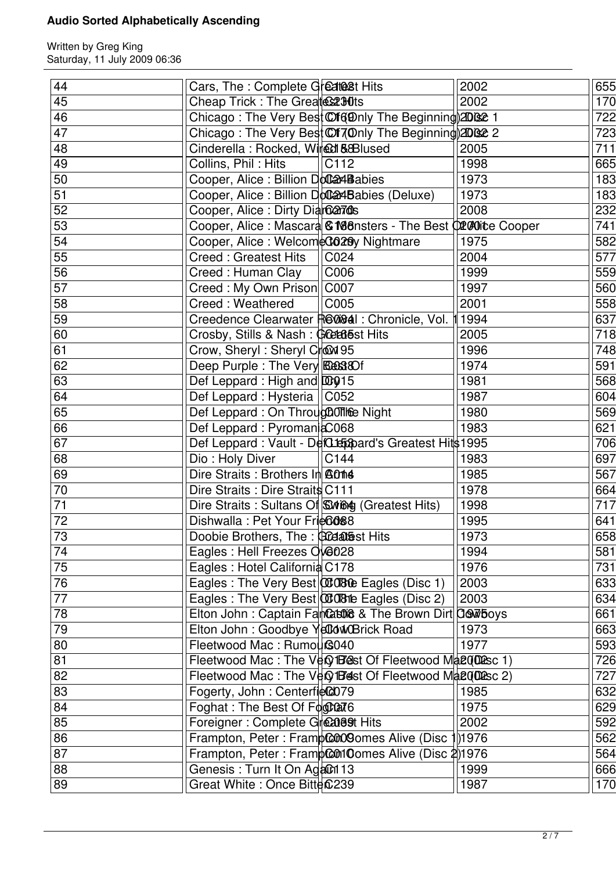| 44              | Cars, The : Complete Greate 8t Hits                                        | 2002                                                            | 655              |
|-----------------|----------------------------------------------------------------------------|-----------------------------------------------------------------|------------------|
| 45              | Cheap Trick : The Greates 280ts                                            | 2002                                                            | 170              |
| 46              | Chicago: The Very Best Cf(@nly The Beginning) 2002 1                       |                                                                 | $\overline{7}22$ |
| 47              |                                                                            | Chicago: The Very Best Coll 70 mly The Beginning 20082 2        | 723              |
| 48              | Cinderella: Rocked, Wired & & Blused                                       | 2005                                                            | 711              |
| 49              | Collins, Phil: Hits<br>C112                                                | 1998                                                            | 665              |
| 50              | Cooper, Alice : Billion DoCa4Babies                                        | 1973                                                            | 183              |
| 51              | Cooper, Alice: Billion Dollard Babies (Deluxe)                             | 1973                                                            | 183              |
| 52              | Cooper, Alice: Dirty Diarca7ds                                             | 2008                                                            | 232              |
| 53              |                                                                            | Cooper, Alice: Mascard & M88nsters - The Best (1200) the Cooper | 741              |
| 54              | Cooper, Alice: WelcomeC028y Nightmare                                      | 1975                                                            | 582              |
| 55              | <b>Creed: Greatest Hits</b><br>C024                                        | 2004                                                            | 577              |
| 56              | Creed: Human Clay<br>C006                                                  | 1999                                                            | 559              |
| $\overline{57}$ | Creed: My Own Prison  C007                                                 | 1997                                                            | 560              |
| 58              | <b>Creed: Weathered</b><br>C005                                            | 2001                                                            | 558              |
| 59              | Creedence Clearwater Records : Chronicle, Vol.                             | 1994                                                            | 637              |
| 60              | Crosby, Stills & Nash: GCEC65 Hits                                         | 2005                                                            | $\overline{718}$ |
| 61              | Crow, Sheryl: Sheryl Crowl 95                                              | 1996                                                            | 748              |
| 62              | Deep Purple: The Very <b>Example</b>                                       | 1974                                                            | 591              |
| 63              | Def Leppard: High and DD915                                                | 1981                                                            | 568              |
| 64              | Def Leppard: Hysteria   C052                                               | 1987                                                            | 604              |
| 65              | Def Leppard: On Throug COTIGE Night                                        | 1980                                                            | 569              |
| 66              | Def Leppard: PyromaniaC068                                                 | 1983                                                            | 621              |
| 67              | Def Leppard: Vault - DefCteppard's Greatest Hits 1995                      |                                                                 | 706              |
| 68              | Dio: Holy Diver<br>C144                                                    | 1983                                                            | 697              |
| 69              | Dire Straits: Brothers In A014                                             | 1985                                                            | 567              |
| 70              | Dire Straits : Dire Straits C111                                           | 1978                                                            | 664              |
| $\overline{71}$ | Dire Straits: Sultans Of String (Greatest Hits)                            | 1998                                                            | 717              |
| $\overline{72}$ | Dishwalla: Pet Your Frie <sup>6088</sup>                                   | 1995                                                            | 641              |
| $\overline{73}$ |                                                                            | 1973                                                            | 658              |
| 74              | Doobie Brothers, The: <b>Codatest Hits</b><br>Eagles : Hell Freezes 006028 | 1994                                                            | 581              |
| $\overline{75}$ | Eagles: Hotel California C178                                              | 1976                                                            | 731              |
| 76              | Eagles: The Very Best <b>CCOBLe</b> Eagles (Disc 1)                        | 2003                                                            | 633              |
| $\overline{77}$ | Eagles: The Very Best <b>CCOB</b> the Eagles (Disc 2)                      | 2003                                                            | 634              |
| 78              |                                                                            | Elton John: Captain Fan Cabo & The Brown Dirt OSW Boys          | 661              |
| 79              | Elton John: Goodbye YellowBrick Road                                       | 1973                                                            | 663              |
|                 |                                                                            | 1977                                                            |                  |
| 80              | Fleetwood Mac: Rumou                                                       |                                                                 | 593              |
| 81              |                                                                            | Fleetwood Mac: The Very 188st Of Fleetwood Magnetic 1)          | $\overline{726}$ |
| 82              |                                                                            | Fleetwood Mac: The Very 1Best Of Fleetwood Ma2002sc 2)          | 727              |
| 83              | Fogerty, John: Centerfiec079                                               | 1985                                                            | 632              |
| 84              | Foghat: The Best Of $F\phi\phi$ and $\phi$                                 | 1975                                                            | 629              |
| 85              | Foreigner: Complete Greasest Hits                                          | 2002                                                            | 592              |
| 86              | Frampton, Peter: FrampCOOO9omes Alive (Disc                                | 1976                                                            | 562              |
| 87              | Frampton, Peter: FrampContOomes Alive (Disc 2)1976                         |                                                                 | 564              |
| 88              | Genesis: Turn It On Agan 13                                                | 1999                                                            | 666              |
| 89              | Great White: Once Bitte 6239                                               | 1987                                                            | 170              |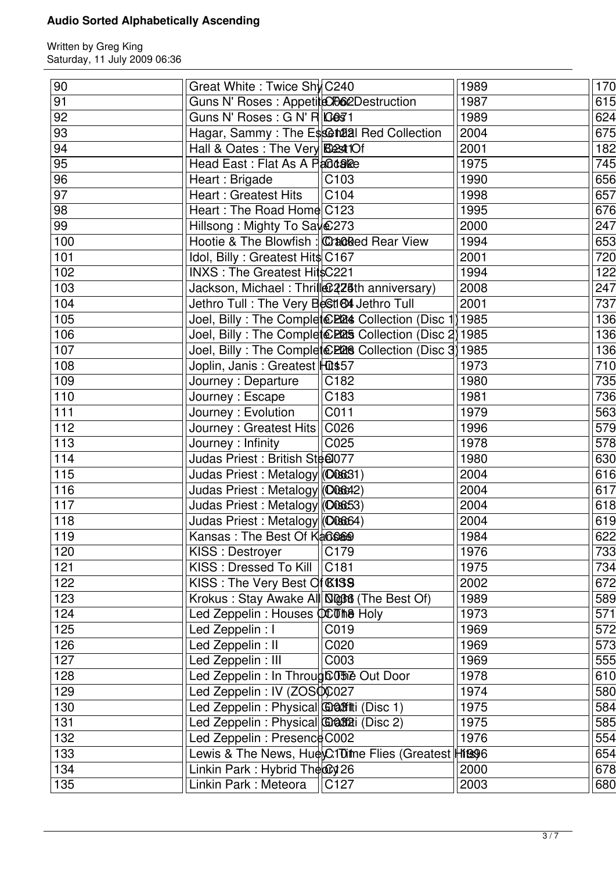| $90\,$           | Great White: Twice Shy C240                             | 1989 | 170              |
|------------------|---------------------------------------------------------|------|------------------|
| 91               | Guns N' Roses : Appetite CO62Destruction                | 1987 | 615              |
| 92               | Guns N' Roses : G N' R $\log$ 1                         | 1989 | 624              |
| 93               | Hagar, Sammy: The Essential Red Collection              | 2004 | 675              |
| 94               | Hall & Oates : The Very Best 10f                        | 2001 | 182              |
| 95               | Head East: Flat As A Parotake                           | 1975 | 745              |
| 96               | Heart: Brigade<br>C <sub>103</sub>                      | 1990 | 656              |
| 97               | Heart: Greatest Hits<br>C104                            | 1998 | 657              |
| 98               | Heart: The Road Home C123                               | 1995 | 676              |
| 99               | Hillsong: Mighty To Say 273                             | 2000 | 247              |
| 100              | Hootie & The Blowfish : Cracked Rear View               | 1994 | 653              |
| 101              | Idol, Billy: Greatest Hits C167                         | 2001 | 720              |
| 102              | INXS: The Greatest HitsC221                             | 1994 | 122              |
| 103              | Jackson, Michael: Thrill@228th anniversary)             | 2008 | 247              |
| 104              | Jethro Tull: The Very BeSt164 Jethro Tull               | 2001 | 737              |
| 105              | Joel, Billy: The Complete 2224 Collection (Disc 1) 1985 |      | 136              |
| 106              | Joel, Billy: The Complet EP25 Collection (Disc 2) 1985  |      | 136              |
| 107              |                                                         |      |                  |
|                  | Joel, Billy: The Complet EP26 Collection (Disc 3) 1985  |      | 136              |
| 108              | Joplin, Janis: Greatest Hut\$57                         | 1973 | 710              |
| 109              | Journey : Departure<br>C <sub>182</sub>                 | 1980 | 735              |
| 110              | $\overline{C183}$<br>Journey: Escape                    | 1981 | 736              |
| 111              | Journey: Evolution<br>C011                              | 1979 | 563              |
| $\overline{112}$ | C026<br>Journey: Greatest Hits                          | 1996 | 579              |
| 113              | Journey : Infinity<br>C025                              | 1978 | $\overline{578}$ |
| $\overline{114}$ | Judas Priest: British Stee077                           | 1980 | 630              |
| 115              | Judas Priest: Metalogy (C08631)                         | 2004 | 616              |
| 116              | Judas Priest: Metalogy (O06642)                         | 2004 | 617              |
| 117              | Judas Priest: Metalogy (C08653)                         | 2004 | 618              |
| 118              | Judas Priest: Metalogy (O0864)                          | 2004 | 619              |
| 119              | Kansas: The Best Of KaGSAS                              | 1984 | 622              |
| 120              | C179<br>KISS: Destroyer                                 | 1976 | 733              |
| 121              | KISS: Dressed To Kill<br>C181                           | 1975 | 734              |
| 122              | KISS: The Very Best Of <b>K139</b>                      | 2002 | 672              |
| 123              | Krokus: Stay Awake All Not (The Best Of)                | 1989 | 589              |
| 124              | Led Zeppelin: Houses QCTM8 Holy                         | 1973 | 571              |
| 125              | Led Zeppelin : I<br>C019                                | 1969 | 572              |
| 126              | Led Zeppelin: II<br>C020                                | 1969 | 573              |
| 127              | Led Zeppelin: III<br>C003                               | 1969 | $\overline{5}55$ |
| 128              | Led Zeppelin : In Throug CO5 Dut Door                   | 1978 | 610              |
| 129              | Led Zeppelin : IV (ZOSOC027                             | 1974 | 580              |
| 130              | Led Zeppelin: Physical Graffiti (Disc 1)                | 1975 | 584              |
| 131              |                                                         | 1975 |                  |
|                  | Led Zeppelin: Physical <b>Grass</b> i (Disc 2)          |      | 585              |
| 132              | Led Zeppelin : Presence C002                            | 1976 | 554              |
| 133              | Lewis & The News, Hue C10 the Flies (Greatest Hits 96   |      | 654              |
| 134              | Linkin Park: Hybrid The $\mathbb{Q}$ 26                 | 2000 | 678              |
| 135              | Linkin Park: Meteora<br>C127                            | 2003 | 680              |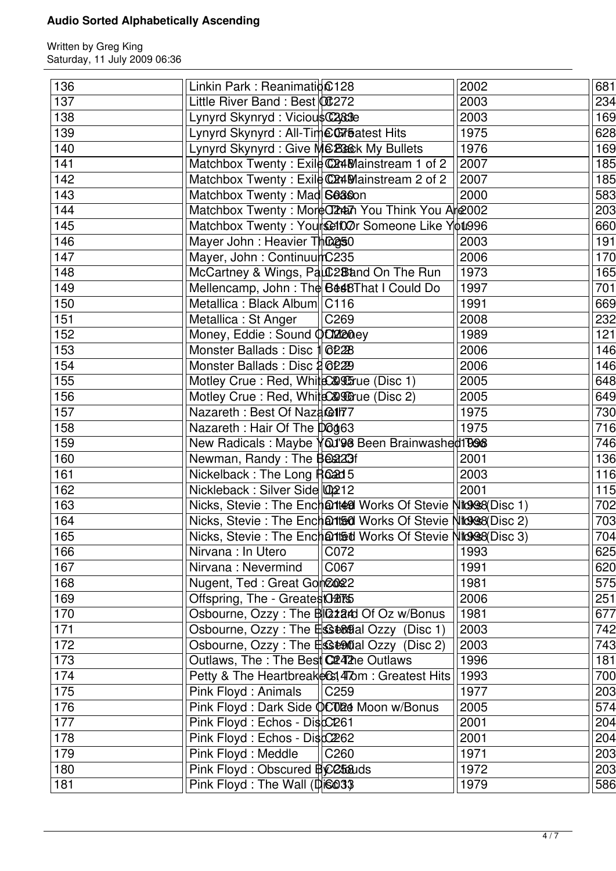| 136 | Linkin Park: Reanimation $0.128$                             |      | 2002 | 681 |
|-----|--------------------------------------------------------------|------|------|-----|
| 137 | Little River Band: Best 00:272                               |      | 2003 | 234 |
| 138 | Lynyrd Skynryd: ViciousC283e                                 |      | 2003 | 169 |
| 139 | Lynyrd Skynyrd: All-Time Coreatest Hits                      |      | 1975 | 628 |
| 140 | Lynyrd Skynyrd: Give MCBB&k My Bullets                       |      | 1976 | 169 |
| 141 | Matchbox Twenty: Exile C24Mainstream 1 of 2                  |      | 2007 | 185 |
| 142 | Matchbox Twenty: Exile C24Mainstream 2 of 2                  |      | 2007 | 185 |
| 143 | Matchbox Twenty: Mad S0380n                                  |      | 2000 | 583 |
| 144 | Matchbox Twenty: MoreO2AM You Think You Are 2002             |      |      | 203 |
| 145 | Matchbox Twenty: Yourselft00r Someone Like You996            |      |      | 660 |
| 146 | Mayer John : Heavier Thing50                                 |      | 2003 | 191 |
| 147 | Mayer, John: ContinuumC235                                   |      | 2006 | 170 |
| 148 | McCartney & Wings, Pauc2B and On The Run                     |      | 1973 | 165 |
| 149 | Mellencamp, John: The Best BThat I Could Do                  |      | 1997 | 701 |
| 150 | Metallica: Black Album   C116                                |      | 1991 | 669 |
| 151 | Metallica : St Anger                                         | C269 | 2008 | 232 |
| 152 | Money, Eddie: Sound QO2200ey                                 |      | 1989 | 121 |
| 153 | Monster Ballads: Disc 1 6228                                 |      | 2006 | 146 |
| 154 | Monster Ballads: Disc 2 6229                                 |      | 2006 | 146 |
| 155 | Motley Crue: Red, WhiteC& Strue (Disc 1)                     |      | 2005 | 648 |
| 156 | Motley Crue: Red, WhiteC& Counter (Disc 2)                   |      | 2005 | 649 |
| 157 | Nazareth: Best Of Naza@177                                   |      | 1975 | 730 |
| 158 | Nazareth: Hair Of The D6463                                  |      | 1975 | 716 |
| 159 |                                                              |      |      | 746 |
| 160 | New Radicals: Maybe You'98 Been Brainwashed1998              |      | 2001 | 136 |
| 161 | Newman, Randy: The Beaz3f                                    |      | 2003 | 116 |
|     | Nickelback: The Long Road 5                                  |      | 2001 |     |
| 162 | Nickleback: Silver Side 0212                                 |      |      | 115 |
| 163 | Nicks, Stevie: The Encharted Works Of Stevie Nicks (Disc 1)  |      |      | 702 |
| 164 | Nicks, Stevie: The Enchartsal Works Of Stevie Nicks8(Disc 2) |      |      | 703 |
| 165 | Nicks, Stevie: The Encharts of Stevie Niters (Disc 3)        |      |      | 704 |
| 166 | Nirvana : In Utero                                           | C072 | 1993 | 625 |
| 167 | Nirvana: Nevermind                                           | C067 | 1991 | 620 |
| 168 | Nugent, Ted: Great Gon2022                                   |      | 1981 | 575 |
| 169 | Offspring, The - Greates 0275                                |      | 2006 | 251 |
| 170 | Osbourne, Ozzy: The BIZzard Of Oz w/Bonus                    |      | 1981 | 677 |
| 171 | Osbourne, Ozzy : The ESte®tal Ozzy (Disc 1)                  |      | 2003 | 742 |
| 172 | Osbourne, Ozzy : The <b>Els te®tial Ozzy</b> (Disc 2)        |      | 2003 | 743 |
| 173 | Outlaws, The : The Best C2242he Outlaws                      |      | 1996 | 181 |
| 174 | Petty & The HeartbreakeCst, 4Tom : Greatest Hits             |      | 1993 | 700 |
| 175 | Pink Floyd: Animals                                          | C259 | 1977 | 203 |
| 176 | Pink Floyd: Dark Side <b>OCO24</b> Moon w/Bonus              |      | 2005 | 574 |
| 177 | Pink Floyd: Echos - Disc2261                                 |      | 2001 | 204 |
| 178 | Pink Floyd: Echos - Disc2262                                 |      | 2001 | 204 |
| 179 | Pink Floyd: Meddle                                           | C260 | 1971 | 203 |
| 180 | Pink Floyd: Obscured BCC568uds                               |      | 1972 | 203 |
| 181 | Pink Floyd: The Wall (Disco33)                               |      | 1979 | 586 |
|     |                                                              |      |      |     |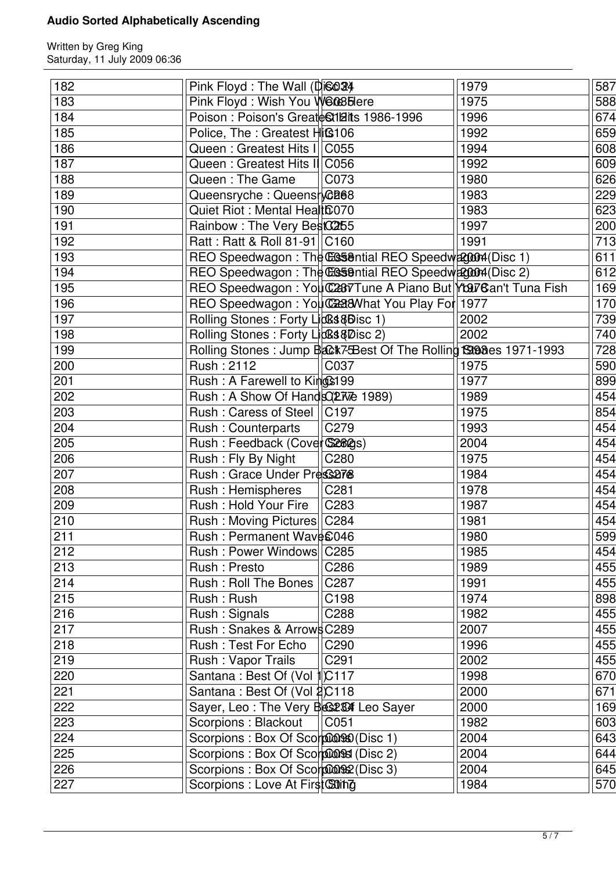| 182 | Pink Floyd : The Wall (Disco 34             |                                                                | 1979 | 587              |
|-----|---------------------------------------------|----------------------------------------------------------------|------|------------------|
| 183 | Pink Floyd: Wish You W6085Here              |                                                                | 1975 | 588              |
| 184 | Poison: Poison's Greate Stillarts 1986-1996 |                                                                | 1996 | 674              |
| 185 | Police, The : Greatest Hiß106               |                                                                | 1992 | 659              |
| 186 | Queen: Greatest Hits I   C055               |                                                                | 1994 | 608              |
| 187 | Queen: Greatest Hits II C056                |                                                                | 1992 | 609              |
| 188 | Queen: The Game                             | C073                                                           | 1980 | 626              |
| 189 | Queensryche : Queensrca88                   |                                                                | 1983 | 229              |
| 190 | Quiet Riot : Mental Healt6070               |                                                                | 1983 | 623              |
| 191 | Rainbow: The Very BestC265                  |                                                                | 1997 | 200              |
| 192 | Ratt: Ratt & Roll 81-91 C160                |                                                                | 1991 | 713              |
| 193 |                                             | REO Speedwagon: The Casential REO Speedwagon4(Disc 1)          |      | 611              |
| 194 |                                             | REO Speedwagon: The CGS9ntial REO Speedwagon4(Disc 2)          |      | 612              |
| 195 |                                             | REO Speedwagon: You C287 Tune A Piano But You Gan't Tuna Fish  |      | 169              |
| 196 |                                             | REO Speedwagon: You C238What You Play For 1977                 |      | 170              |
| 197 | Rolling Stones: Forty Licoss&Bisc 1)        |                                                                | 2002 | 739              |
| 198 | Rolling Stones: Forty Licks&Disc 2)         |                                                                | 2002 | 740              |
| 199 |                                             | Rolling Stones: Jump Back7Best Of The Rolling S308es 1971-1993 |      | 728              |
| 200 | Rush: 2112                                  | C037                                                           | 1975 | 590              |
| 201 |                                             |                                                                | 1977 | 899              |
|     | Rush: A Farewell to Kings199                |                                                                |      |                  |
| 202 | Rush: A Show Of Hands (277 & 1989)          |                                                                | 1989 | 454              |
| 203 | Rush: Caress of Steel                       | C197                                                           | 1975 | 854              |
| 204 | Rush: Counterparts                          | C279                                                           | 1993 | 454              |
| 205 | Rush: Feedback (Cover S2829s)               |                                                                | 2004 | 454              |
| 206 | Rush: Fly By Night                          | C280                                                           | 1975 | 454              |
| 207 | Rush: Grace Under Press278                  |                                                                | 1984 | 454              |
| 208 | Rush: Hemispheres                           | C281                                                           | 1978 | 454              |
| 209 | Rush: Hold Your Fire                        | C283                                                           | 1987 | 454              |
| 210 | Rush: Moving Pictures   C284                |                                                                | 1981 | $\overline{454}$ |
| 211 | Rush: Permanent Wave £046                   |                                                                | 1980 | 599              |
| 212 | Rush: Power Windows                         | C <sub>285</sub>                                               | 1985 | $\overline{4}54$ |
| 213 | Rush: Presto                                | C286                                                           | 1989 | 455              |
| 214 | Rush: Roll The Bones                        | C287                                                           | 1991 | 455              |
| 215 | Rush: Rush                                  | C198                                                           | 1974 | 898              |
| 216 | Rush: Signals                               | C288                                                           | 1982 | 455              |
| 217 | Rush: Snakes & Arrows C289                  |                                                                | 2007 | 455              |
| 218 | Rush: Test For Echo                         | C <sub>290</sub>                                               | 1996 | 455              |
| 219 | Rush: Vapor Trails                          | C291                                                           | 2002 | 455              |
| 220 | Santana: Best Of (Vol 100117                |                                                                | 1998 | 670              |
| 221 | Santana: Best Of (Vol 2C118                 |                                                                | 2000 | 671              |
| 222 | Sayer, Leo: The Very Bes234 Leo Sayer       |                                                                | 2000 | 169              |
| 223 | Scorpions: Blackout                         | CO <sub>51</sub>                                               | 1982 | 603              |
| 224 | Scorpions : Box Of Scorpion 960 (Disc 1)    |                                                                | 2004 | 643              |
| 225 | Scorpions : Box Of Scorpions (Disc 2)       |                                                                | 2004 | 644              |
| 226 | Scorpions : Box Of Scorpions2 (Disc 3)      |                                                                | 2004 | 645              |
| 227 | Scorpions : Love At First Suing             |                                                                | 1984 | 570              |
|     |                                             |                                                                |      |                  |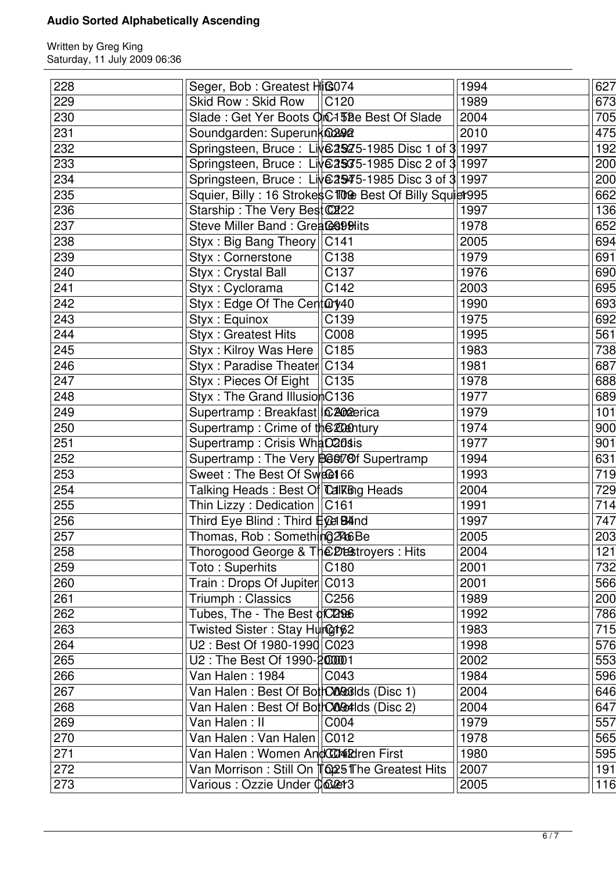| 228 | Seger, Bob : Greatest Hit S074                         | 1994 | 627 |
|-----|--------------------------------------------------------|------|-----|
| 229 | Skid Row: Skid Row<br>C <sub>120</sub>                 | 1989 | 673 |
| 230 | Slade: Get Yer Boots OIC-1558e Best Of Slade           | 2004 | 705 |
| 231 | Soundgarden: Superunknaan                              | 2010 | 475 |
| 232 | Springsteen, Bruce: Live2925-1985 Disc 1 of 3 1997     |      | 192 |
| 233 | Springsteen, Bruce: Live 25375-1985 Disc 2 of 3 1997   |      | 200 |
| 234 | Springsteen, Bruce: Live 2945-1985 Disc 3 of 3 1997    |      | 200 |
| 235 | Squier, Billy: 16 Strokes GTOO Best Of Billy Squiet995 |      | 662 |
| 236 | Starship: The Very Best C222                           | 1997 | 136 |
| 237 | Steve Miller Band: Great& \$99Hits                     | 1978 | 652 |
| 238 | Styx: Big Bang Theory   C141                           | 2005 | 694 |
| 239 | Styx: Cornerstone<br>C138                              | 1979 | 691 |
| 240 | C137<br>Styx: Crystal Ball                             | 1976 | 690 |
| 241 | Styx: Cyclorama<br>C142                                | 2003 | 695 |
| 242 | Styx: Edge Of The Cent@y40                             | 1990 | 693 |
| 243 | Styx: Equinox<br>C139                                  | 1975 | 692 |
| 244 | Styx: Greatest Hits<br>C008                            | 1995 | 561 |
| 245 | Styx: Kilroy Was Here<br>C185                          | 1983 | 738 |
| 246 | Styx: Paradise Theater C134                            | 1981 | 687 |
| 247 | Styx: Pieces Of Eight  <br> C135                       | 1978 | 688 |
| 248 | Styx: The Grand IllusionC136                           | 1977 | 689 |
| 249 | Supertramp: Breakfast  C202erica                       | 1979 | 101 |
| 250 | Supertramp: Crime of the 2000 tury                     | 1974 | 900 |
| 251 | Supertramp: Crisis What C20sis                         | 1977 | 901 |
| 252 | Supertramp: The Very B66178f Supertramp                | 1994 | 631 |
| 253 | Sweet: The Best Of Sweet 66                            | 1993 | 719 |
| 254 | Talking Heads : Best O† Calking Heads                  | 2004 | 729 |
| 255 | Thin Lizzy: Dedication   C161                          | 1991 | 714 |
| 256 | Third Eye Blind : Third <b>#oel B4ind</b>              | 1997 | 747 |
| 257 | Thomas, Rob: Something2466Be                           | 2005 | 203 |
| 258 | Thorogood George & The Destroyers : Hits               | 2004 | 121 |
| 259 | Toto: Superhits<br>C180                                | 2001 | 732 |
| 260 | Train: Drops Of Jupiter C013                           | 2001 | 566 |
| 261 | Triumph: Classics<br>C <sub>256</sub>                  | 1989 | 200 |
| 262 | Tubes, The - The Best of C2966                         | 1992 | 786 |
| 263 | Twisted Sister: Stay Hur@t62                           | 1983 | 715 |
| 264 | U2: Best Of 1980-1990 C023                             | 1998 | 576 |
| 265 | U2: The Best Of 1990-2000001                           | 2002 | 553 |
| 266 | Van Halen: 1984<br>C043                                | 1984 | 596 |
| 267 | Van Halen: Best Of Both COGGIlds (Disc 1)              | 2004 | 646 |
| 268 | Van Halen: Best Of Both CORM-Ids (Disc 2)              | 2004 | 647 |
| 269 | Van Halen: II<br>C004                                  | 1979 | 557 |
| 270 | Van Halen: Van Halen   C012                            | 1978 | 565 |
| 271 | Van Halen : Women AndCCC4i2dren First                  | 1980 | 595 |
| 272 | Van Morrison: Still On TO 25 The Greatest Hits         | 2007 | 191 |
| 273 | Various : Ozzie Under Colet3                           | 2005 | 116 |
|     |                                                        |      |     |